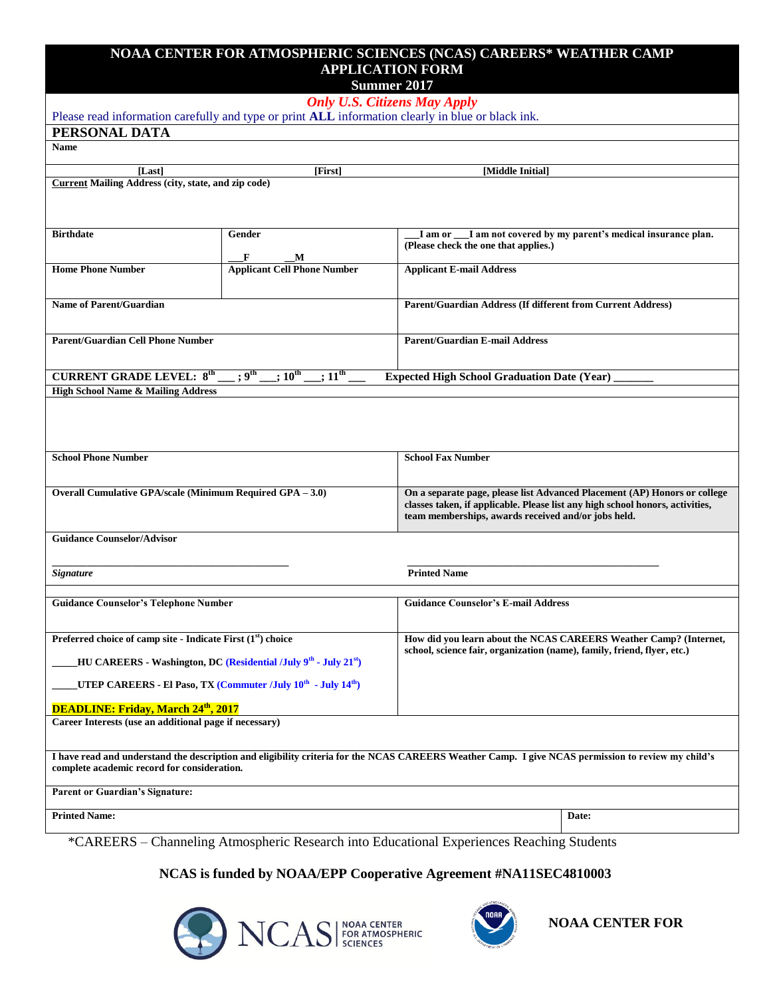## **NOAA CENTER FOR ATMOSPHERIC SCIENCES (NCAS) CAREERS\* WEATHER CAMP APPLICATION FORM**

**Summer 2017**

|                                                                                                   |                                                                                          | <b>DUILINGL</b> $201$<br><b>Only U.S. Citizens May Apply</b>                                                                                       |  |
|---------------------------------------------------------------------------------------------------|------------------------------------------------------------------------------------------|----------------------------------------------------------------------------------------------------------------------------------------------------|--|
| Please read information carefully and type or print ALL information clearly in blue or black ink. |                                                                                          |                                                                                                                                                    |  |
| PERSONAL DATA                                                                                     |                                                                                          |                                                                                                                                                    |  |
| <b>Name</b>                                                                                       |                                                                                          |                                                                                                                                                    |  |
| [Last]                                                                                            | [First]                                                                                  | [Middle Initial]                                                                                                                                   |  |
| <b>Current Mailing Address (city, state, and zip code)</b>                                        |                                                                                          |                                                                                                                                                    |  |
|                                                                                                   |                                                                                          |                                                                                                                                                    |  |
|                                                                                                   |                                                                                          |                                                                                                                                                    |  |
| <b>Birthdate</b>                                                                                  | Gender                                                                                   | I am or __I am not covered by my parent's medical insurance plan.<br>(Please check the one that applies.)                                          |  |
|                                                                                                   | F<br>M                                                                                   |                                                                                                                                                    |  |
| <b>Home Phone Number</b>                                                                          | <b>Applicant Cell Phone Number</b>                                                       | <b>Applicant E-mail Address</b>                                                                                                                    |  |
| <b>Name of Parent/Guardian</b>                                                                    |                                                                                          | Parent/Guardian Address (If different from Current Address)                                                                                        |  |
|                                                                                                   |                                                                                          |                                                                                                                                                    |  |
| <b>Parent/Guardian Cell Phone Number</b>                                                          |                                                                                          | <b>Parent/Guardian E-mail Address</b>                                                                                                              |  |
|                                                                                                   |                                                                                          |                                                                                                                                                    |  |
| <b>CURRENT GRADE LEVEL: 8th</b>                                                                   | $\cdot$ 9 <sup>th</sup><br>$\overline{10^{th}}$<br>$;11^{\text{th}}$                     | <b>Expected High School Graduation Date (Year)</b>                                                                                                 |  |
| <b>High School Name &amp; Mailing Address</b>                                                     |                                                                                          |                                                                                                                                                    |  |
|                                                                                                   |                                                                                          |                                                                                                                                                    |  |
|                                                                                                   |                                                                                          |                                                                                                                                                    |  |
|                                                                                                   |                                                                                          |                                                                                                                                                    |  |
| <b>School Phone Number</b>                                                                        |                                                                                          | <b>School Fax Number</b>                                                                                                                           |  |
|                                                                                                   |                                                                                          |                                                                                                                                                    |  |
| Overall Cumulative GPA/scale (Minimum Required GPA - 3.0)                                         |                                                                                          | On a separate page, please list Advanced Placement (AP) Honors or college                                                                          |  |
|                                                                                                   |                                                                                          | classes taken, if applicable. Please list any high school honors, activities,                                                                      |  |
|                                                                                                   |                                                                                          | team memberships, awards received and/or jobs held.                                                                                                |  |
| <b>Guidance Counselor/Advisor</b>                                                                 |                                                                                          |                                                                                                                                                    |  |
|                                                                                                   |                                                                                          |                                                                                                                                                    |  |
| <b>Signature</b>                                                                                  |                                                                                          | <b>Printed Name</b>                                                                                                                                |  |
| <b>Guidance Counselor's Telephone Number</b>                                                      |                                                                                          | <b>Guidance Counselor's E-mail Address</b>                                                                                                         |  |
|                                                                                                   |                                                                                          |                                                                                                                                                    |  |
| Preferred choice of camp site - Indicate First (1 <sup>st</sup> ) choice                          |                                                                                          | How did you learn about the NCAS CAREERS Weather Camp? (Internet,                                                                                  |  |
|                                                                                                   |                                                                                          | school, science fair, organization (name), family, friend, flyer, etc.)                                                                            |  |
|                                                                                                   | HU CAREERS - Washington, DC (Residential /July 9 <sup>th</sup> - July 21 <sup>st</sup> ) |                                                                                                                                                    |  |
|                                                                                                   | UTEP CAREERS - El Paso, TX (Commuter /July 10 <sup>th</sup> - July 14 <sup>th</sup> )    |                                                                                                                                                    |  |
| <b>DEADLINE: Friday, March 24th, 2017</b>                                                         |                                                                                          |                                                                                                                                                    |  |
| Career Interests (use an additional page if necessary)                                            |                                                                                          |                                                                                                                                                    |  |
|                                                                                                   |                                                                                          |                                                                                                                                                    |  |
| complete academic record for consideration.                                                       |                                                                                          | I have read and understand the description and eligibility criteria for the NCAS CAREERS Weather Camp. I give NCAS permission to review my child's |  |
| <b>Parent or Guardian's Signature:</b>                                                            |                                                                                          |                                                                                                                                                    |  |
| <b>Printed Name:</b>                                                                              |                                                                                          | Date:                                                                                                                                              |  |
|                                                                                                   |                                                                                          |                                                                                                                                                    |  |
|                                                                                                   |                                                                                          | *CAREERS - Channeling Atmospheric Research into Educational Experiences Reaching Students                                                          |  |
|                                                                                                   |                                                                                          |                                                                                                                                                    |  |

## **NCAS is funded by NOAA/EPP Cooperative Agreement #NA11SEC4810003**





**NOAA CENTER FOR**